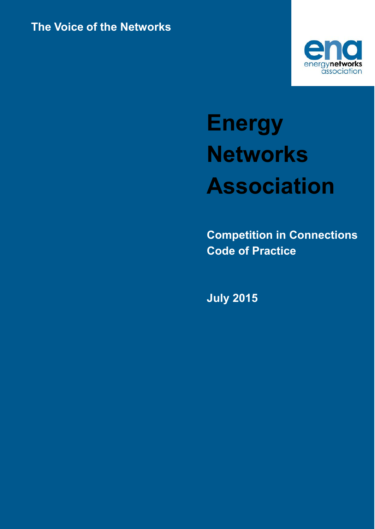

# **Energy Networks Association**

**Competition in Connections Code of Practice**

**July 2015**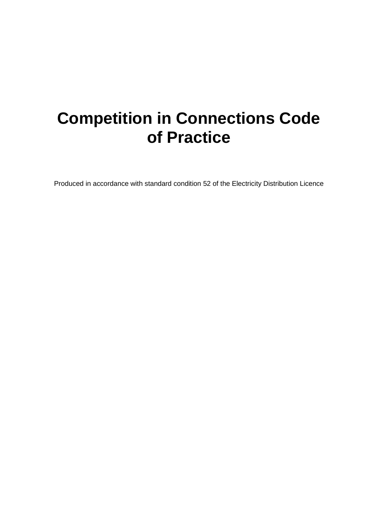## **Competition in Connections Code of Practice**

Produced in accordance with standard condition 52 of the Electricity Distribution Licence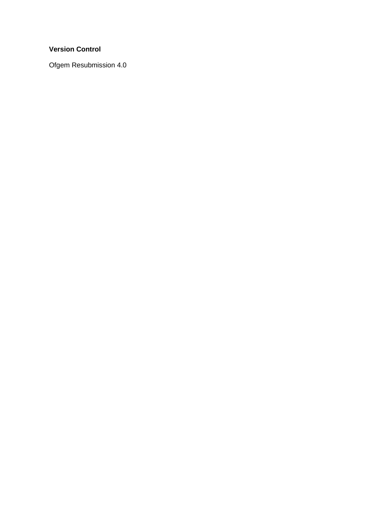#### **Version Control**

Ofgem Resubmission 4.0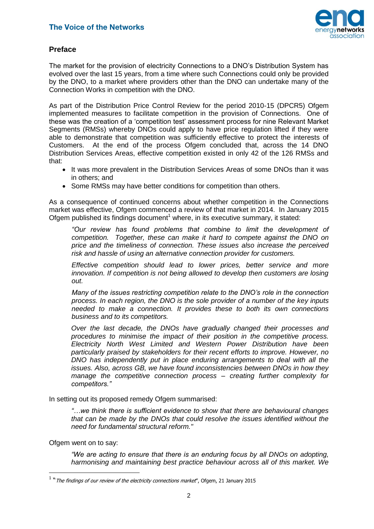

#### **Preface**

The market for the provision of electricity Connections to a DNO's Distribution System has evolved over the last 15 years, from a time where such Connections could only be provided by the DNO, to a market where providers other than the DNO can undertake many of the Connection Works in competition with the DNO.

As part of the Distribution Price Control Review for the period 2010-15 (DPCR5) Ofgem implemented measures to facilitate competition in the provision of Connections. One of these was the creation of a 'competition test' assessment process for nine Relevant Market Segments (RMSs) whereby DNOs could apply to have price regulation lifted if they were able to demonstrate that competition was sufficiently effective to protect the interests of Customers. At the end of the process Ofgem concluded that, across the 14 DNO Distribution Services Areas, effective competition existed in only 42 of the 126 RMSs and that:

- It was more prevalent in the Distribution Services Areas of some DNOs than it was in others; and
- Some RMSs may have better conditions for competition than others.

As a consequence of continued concerns about whether competition in the Connections market was effective, Ofgem commenced a review of that market in 2014. In January 2015 Ofgem published its findings document<sup>1</sup> where, in its executive summary, it stated:

*"Our review has found problems that combine to limit the development of competition. Together, these can make it hard to compete against the DNO on price and the timeliness of connection. These issues also increase the perceived risk and hassle of using an alternative connection provider for customers.* 

*Effective competition should lead to lower prices, better service and more innovation. If competition is not being allowed to develop then customers are losing out.* 

*Many of the issues restricting competition relate to the DNO's role in the connection process. In each region, the DNO is the sole provider of a number of the key inputs needed to make a connection. It provides these to both its own connections business and to its competitors.* 

*Over the last decade, the DNOs have gradually changed their processes and procedures to minimise the impact of their position in the competitive process. Electricity North West Limited and Western Power Distribution have been particularly praised by stakeholders for their recent efforts to improve. However, no DNO has independently put in place enduring arrangements to deal with all the issues. Also, across GB, we have found inconsistencies between DNOs in how they manage the competitive connection process – creating further complexity for competitors."*

In setting out its proposed remedy Ofgem summarised:

*"…we think there is sufficient evidence to show that there are behavioural changes that can be made by the DNOs that could resolve the issues identified without the need for fundamental structural reform."*

Ofgem went on to say:

-

*"We are acting to ensure that there is an enduring focus by all DNOs on adopting, harmonising and maintaining best practice behaviour across all of this market. We* 

<sup>&</sup>lt;sup>1</sup> "The findings of our review of the electricity connections market", Ofgem, 21 January 2015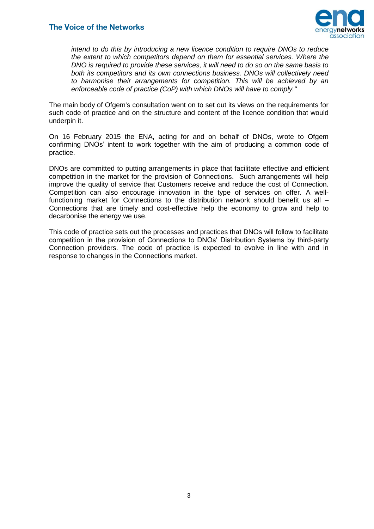

*intend to do this by introducing a new licence condition to require DNOs to reduce the extent to which competitors depend on them for essential services. Where the DNO is required to provide these services, it will need to do so on the same basis to both its competitors and its own connections business. DNOs will collectively need to harmonise their arrangements for competition. This will be achieved by an enforceable code of practice (CoP) with which DNOs will have to comply."*

The main body of Ofgem's consultation went on to set out its views on the requirements for such code of practice and on the structure and content of the licence condition that would underpin it.

On 16 February 2015 the ENA, acting for and on behalf of DNOs, wrote to Ofgem confirming DNOs' intent to work together with the aim of producing a common code of practice.

DNOs are committed to putting arrangements in place that facilitate effective and efficient competition in the market for the provision of Connections. Such arrangements will help improve the quality of service that Customers receive and reduce the cost of Connection. Competition can also encourage innovation in the type of services on offer. A wellfunctioning market for Connections to the distribution network should benefit us all – Connections that are timely and cost-effective help the economy to grow and help to decarbonise the energy we use.

This code of practice sets out the processes and practices that DNOs will follow to facilitate competition in the provision of Connections to DNOs' Distribution Systems by third-party Connection providers. The code of practice is expected to evolve in line with and in response to changes in the Connections market.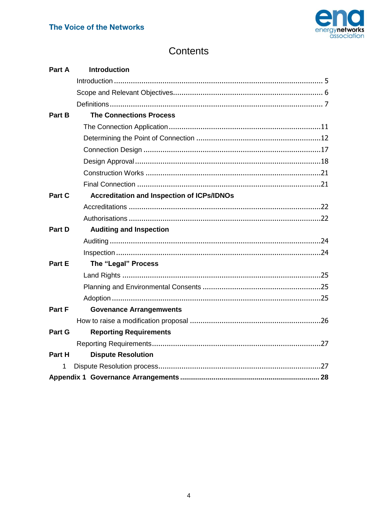

## Contents

<span id="page-5-0"></span>

| Part A | <b>Introduction</b>                               |
|--------|---------------------------------------------------|
|        |                                                   |
|        |                                                   |
|        |                                                   |
| Part B | <b>The Connections Process</b>                    |
|        |                                                   |
|        |                                                   |
|        |                                                   |
|        |                                                   |
|        |                                                   |
|        |                                                   |
| Part C | <b>Accreditation and Inspection of ICPs/IDNOs</b> |
|        |                                                   |
|        |                                                   |
| Part D | <b>Auditing and Inspection</b>                    |
|        |                                                   |
|        |                                                   |
| Part E | The "Legal" Process                               |
|        |                                                   |
|        |                                                   |
|        |                                                   |
| Part F | <b>Govenance Arrangemwents</b>                    |
|        |                                                   |
| Part G | <b>Reporting Requirements</b>                     |
|        |                                                   |
| Part H | <b>Dispute Resolution</b>                         |
| 1      |                                                   |
|        |                                                   |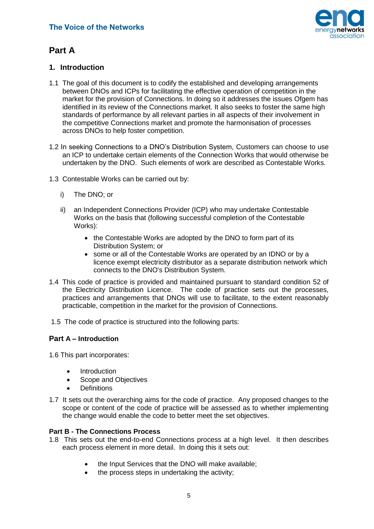

## **Part A**

#### <span id="page-6-0"></span>**1. Introduction**

- 1.1 The goal of this document is to codify the established and developing arrangements between DNOs and ICPs for facilitating the effective operation of competition in the market for the provision of Connections. In doing so it addresses the issues Ofgem has identified in its review of the Connections market. It also seeks to foster the same high standards of performance by all relevant parties in all aspects of their involvement in the competitive Connections market and promote the harmonisation of processes across DNOs to help foster competition.
- 1.2 In seeking Connections to a DNO's Distribution System, Customers can choose to use an ICP to undertake certain elements of the Connection Works that would otherwise be undertaken by the DNO. Such elements of work are described as Contestable Works.
- 1.3 Contestable Works can be carried out by:
	- i) The DNO; or
	- ii) an Independent Connections Provider (ICP) who may undertake Contestable Works on the basis that (following successful completion of the Contestable Works):
		- the Contestable Works are adopted by the DNO to form part of its Distribution System; or
		- some or all of the Contestable Works are operated by an IDNO or by a licence exempt electricity distributor as a separate distribution network which connects to the DNO's Distribution System.
- 1.4 This code of practice is provided and maintained pursuant to standard condition 52 of the Electricity Distribution Licence. The code of practice sets out the processes, practices and arrangements that DNOs will use to facilitate, to the extent reasonably practicable, competition in the market for the provision of Connections.
- 1.5 The code of practice is structured into the following parts:

#### **Part A – Introduction**

1.6 This part incorporates:

- Introduction
- Scope and Objectives
- **Definitions**
- 1.7 It sets out the overarching aims for the code of practice. Any proposed changes to the scope or content of the code of practice will be assessed as to whether implementing the change would enable the code to better meet the set objectives.

#### **Part B - The Connections Process**

- 1.8 This sets out the end-to-end Connections process at a high level. It then describes each process element in more detail. In doing this it sets out:
	- the Input Services that the DNO will make available;
	- the process steps in undertaking the activity;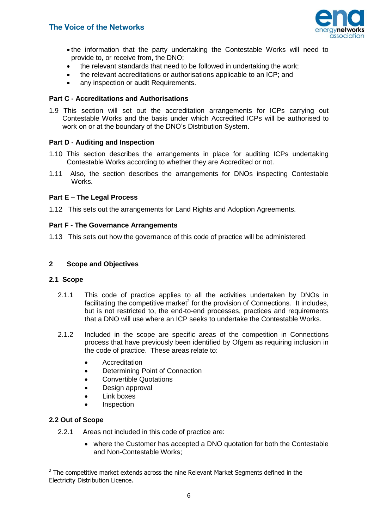

- the information that the party undertaking the Contestable Works will need to provide to, or receive from, the DNO;
- the relevant standards that need to be followed in undertaking the work;
- the relevant accreditations or authorisations applicable to an ICP; and
- any inspection or audit Requirements.

#### **Part C - Accreditations and Authorisations**

1.9 This section will set out the accreditation arrangements for ICPs carrying out Contestable Works and the basis under which Accredited ICPs will be authorised to work on or at the boundary of the DNO's Distribution System.

#### **Part D - Auditing and Inspection**

- 1.10 This section describes the arrangements in place for auditing ICPs undertaking Contestable Works according to whether they are Accredited or not.
- 1.11 Also, the section describes the arrangements for DNOs inspecting Contestable Works.

#### **Part E – The Legal Process**

1.12 This sets out the arrangements for Land Rights and Adoption Agreements.

#### **Part F - The Governance Arrangements**

1.13 This sets out how the governance of this code of practice will be administered.

#### <span id="page-7-0"></span>**2 Scope and Objectives**

#### **2.1 Scope**

- 2.1.1 This code of practice applies to all the activities undertaken by DNOs in facilitating the competitive market<sup>2</sup> for the provision of Connections. It includes, but is not restricted to, the end-to-end processes, practices and requirements that a DNO will use where an ICP seeks to undertake the Contestable Works.
- 2.1.2 Included in the scope are specific areas of the competition in Connections process that have previously been identified by Ofgem as requiring inclusion in the code of practice. These areas relate to:
	- **•** Accreditation
	- Determining Point of Connection
	- Convertible Quotations
	- Design approval
	- Link boxes
	- Inspection

#### **2.2 Out of Scope**

-

- 2.2.1 Areas not included in this code of practice are:
	- where the Customer has accepted a DNO quotation for both the Contestable and Non-Contestable Works;

 $2$  The competitive market extends across the nine Relevant Market Segments defined in the Electricity Distribution Licence.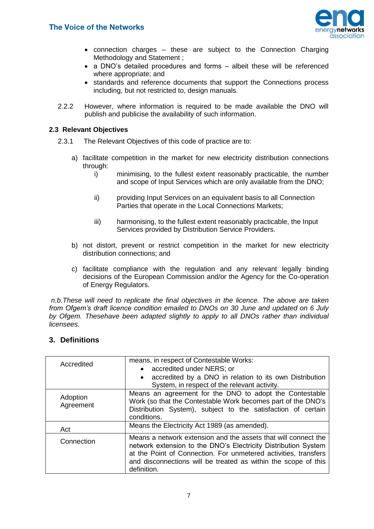

- connection charges these are subject to the Connection Charging Methodology and Statement ;
- a DNO's detailed procedures and forms albeit these will be referenced where appropriate; and
- standards and reference documents that support the Connections process including, but not restricted to, design manuals.
- 2.2.2 However, where information is required to be made available the DNO will publish and publicise the availability of such information.

#### **2.3 Relevant Objectives**

- 2.3.1 The Relevant Objectives of this code of practice are to:
	- a) facilitate competition in the market for new electricity distribution connections through:
		- i) minimising, to the fullest extent reasonably practicable, the number and scope of Input Services which are only available from the DNO;
		- ii) providing Input Services on an equivalent basis to all Connection Parties that operate in the Local Connections Markets;
		- iii) harmonising, to the fullest extent reasonably practicable, the Input Services provided by Distribution Service Providers.
	- b) not distort, prevent or restrict competition in the market for new electricity distribution connections; and
	- c) facilitate compliance with the regulation and any relevant legally binding decisions of the European Commission and/or the Agency for the Co-operation of Energy Regulators.

*n.b.These will need to replicate the final objectives in the licence. The above are taken from Ofgem's draft licence condition emailed to DNOs on 30 June and updated on 6 July by Ofgem. Thesehave been adapted slightly to apply to all DNOs rather than individual licensees.*

#### <span id="page-8-0"></span>**3. Definitions**

| Accredited            | means, in respect of Contestable Works:                                                                                                                                                                                                                                              |
|-----------------------|--------------------------------------------------------------------------------------------------------------------------------------------------------------------------------------------------------------------------------------------------------------------------------------|
|                       | • accredited under NERS; or                                                                                                                                                                                                                                                          |
|                       | accredited by a DNO in relation to its own Distribution                                                                                                                                                                                                                              |
|                       | System, in respect of the relevant activity.                                                                                                                                                                                                                                         |
| Adoption<br>Agreement | Means an agreement for the DNO to adopt the Contestable<br>Work (so that the Contestable Work becomes part of the DNO's<br>Distribution System), subject to the satisfaction of certain<br>conditions.                                                                               |
| Act                   | Means the Electricity Act 1989 (as amended).                                                                                                                                                                                                                                         |
| Connection            | Means a network extension and the assets that will connect the<br>network extension to the DNO's Electricity Distribution System<br>at the Point of Connection. For unmetered activities, transfers<br>and disconnections will be treated as within the scope of this<br>definition. |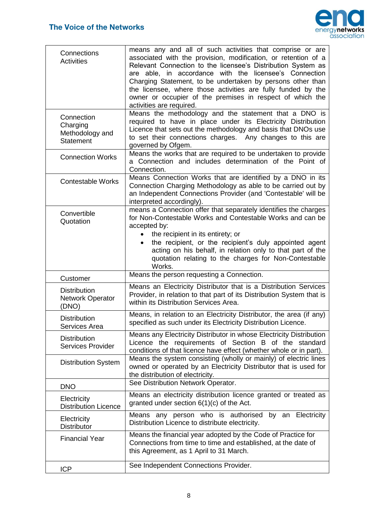

| Connections<br><b>Activities</b>                              | means any and all of such activities that comprise or are<br>associated with the provision, modification, or retention of a<br>Relevant Connection to the licensee's Distribution System as<br>are able, in accordance with the licensee's Connection<br>Charging Statement, to be undertaken by persons other than<br>the licensee, where those activities are fully funded by the<br>owner or occupier of the premises in respect of which the<br>activities are required. |
|---------------------------------------------------------------|------------------------------------------------------------------------------------------------------------------------------------------------------------------------------------------------------------------------------------------------------------------------------------------------------------------------------------------------------------------------------------------------------------------------------------------------------------------------------|
| Connection<br>Charging<br>Methodology and<br><b>Statement</b> | Means the methodology and the statement that a DNO is<br>required to have in place under its Electricity Distribution<br>Licence that sets out the methodology and basis that DNOs use<br>to set their connections charges. Any changes to this are<br>governed by Ofgem.                                                                                                                                                                                                    |
| <b>Connection Works</b>                                       | Means the works that are required to be undertaken to provide<br>a Connection and includes determination of the Point of<br>Connection.                                                                                                                                                                                                                                                                                                                                      |
| <b>Contestable Works</b>                                      | Means Connection Works that are identified by a DNO in its<br>Connection Charging Methodology as able to be carried out by<br>an Independent Connections Provider (and 'Contestable' will be<br>interpreted accordingly).                                                                                                                                                                                                                                                    |
| Convertible<br>Quotation                                      | means a Connection offer that separately identifies the charges<br>for Non-Contestable Works and Contestable Works and can be<br>accepted by:<br>the recipient in its entirety; or<br>the recipient, or the recipient's duly appointed agent<br>acting on his behalf, in relation only to that part of the<br>quotation relating to the charges for Non-Contestable<br>Works.                                                                                                |
| Customer                                                      | Means the person requesting a Connection.                                                                                                                                                                                                                                                                                                                                                                                                                                    |
| <b>Distribution</b><br>Network Operator<br>(DNO)              | Means an Electricity Distributor that is a Distribution Services<br>Provider, in relation to that part of its Distribution System that is<br>within its Distribution Services Area.                                                                                                                                                                                                                                                                                          |
| <b>Distribution</b><br>Services Area                          | Means, in relation to an Electricity Distributor, the area (if any)<br>specified as such under its Electricity Distribution Licence.                                                                                                                                                                                                                                                                                                                                         |
| <b>Distribution</b><br><b>Services Provider</b>               | Means any Electricity Distributor in whose Electricity Distribution<br>Licence the requirements of Section B of the standard<br>conditions of that licence have effect (whether whole or in part).                                                                                                                                                                                                                                                                           |
| <b>Distribution System</b>                                    | Means the system consisting (wholly or mainly) of electric lines<br>owned or operated by an Electricity Distributor that is used for<br>the distribution of electricity.                                                                                                                                                                                                                                                                                                     |
| <b>DNO</b>                                                    | See Distribution Network Operator.                                                                                                                                                                                                                                                                                                                                                                                                                                           |
| Electricity<br><b>Distribution Licence</b>                    | Means an electricity distribution licence granted or treated as<br>granted under section $6(1)(c)$ of the Act.                                                                                                                                                                                                                                                                                                                                                               |
| Electricity<br><b>Distributor</b>                             | Means any person who is authorised by an Electricity<br>Distribution Licence to distribute electricity.                                                                                                                                                                                                                                                                                                                                                                      |
| <b>Financial Year</b>                                         | Means the financial year adopted by the Code of Practice for<br>Connections from time to time and established, at the date of<br>this Agreement, as 1 April to 31 March.                                                                                                                                                                                                                                                                                                     |
| <b>ICP</b>                                                    | See Independent Connections Provider.                                                                                                                                                                                                                                                                                                                                                                                                                                        |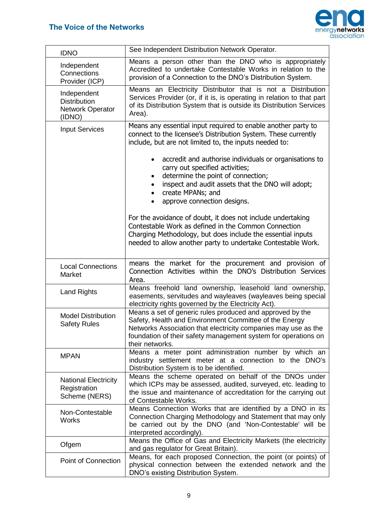

| <b>IDNO</b>                                                      | See Independent Distribution Network Operator.                                                                                                                                                                                                                             |
|------------------------------------------------------------------|----------------------------------------------------------------------------------------------------------------------------------------------------------------------------------------------------------------------------------------------------------------------------|
| Independent<br>Connections<br>Provider (ICP)                     | Means a person other than the DNO who is appropriately<br>Accredited to undertake Contestable Works in relation to the<br>provision of a Connection to the DNO's Distribution System.                                                                                      |
| Independent<br><b>Distribution</b><br>Network Operator<br>(IDNO) | Means an Electricity Distributor that is not a Distribution<br>Services Provider (or, if it is, is operating in relation to that part<br>of its Distribution System that is outside its Distribution Services<br>Area).                                                    |
| <b>Input Services</b>                                            | Means any essential input required to enable another party to<br>connect to the licensee's Distribution System. These currently<br>include, but are not limited to, the inputs needed to:                                                                                  |
|                                                                  | accredit and authorise individuals or organisations to<br>carry out specified activities;<br>determine the point of connection;<br>$\bullet$<br>inspect and audit assets that the DNO will adopt;<br>create MPANs; and<br>approve connection designs.                      |
|                                                                  | For the avoidance of doubt, it does not include undertaking<br>Contestable Work as defined in the Common Connection<br>Charging Methodology, but does include the essential inputs<br>needed to allow another party to undertake Contestable Work.                         |
| <b>Local Connections</b><br>Market                               | means the market for the procurement and provision of<br>Connection Activities within the DNO's Distribution Services<br>Area.                                                                                                                                             |
| <b>Land Rights</b>                                               | Means freehold land ownership, leasehold land ownership,<br>easements, servitudes and wayleaves (wayleaves being special<br>electricity rights governed by the Electricity Act).                                                                                           |
| <b>Model Distribution</b><br><b>Safety Rules</b>                 | Means a set of generic rules produced and approved by the<br>Safety, Health and Environment Committee of the Energy<br>Networks Association that electricity companies may use as the<br>foundation of their safety management system for operations on<br>their networks. |
| <b>MPAN</b>                                                      | Means a meter point administration number by which an<br>industry settlement meter at a connection to the DNO's<br>Distribution System is to be identified.                                                                                                                |
| <b>National Electricity</b><br>Registration<br>Scheme (NERS)     | Means the scheme operated on behalf of the DNOs under<br>which ICPs may be assessed, audited, surveyed, etc. leading to<br>the issue and maintenance of accreditation for the carrying out<br>of Contestable Works.                                                        |
| Non-Contestable<br><b>Works</b>                                  | Means Connection Works that are identified by a DNO in its<br>Connection Charging Methodology and Statement that may only<br>be carried out by the DNO (and 'Non-Contestable' will be<br>interpreted accordingly).                                                         |
| Ofgem                                                            | Means the Office of Gas and Electricity Markets (the electricity<br>and gas regulator for Great Britain).                                                                                                                                                                  |
| <b>Point of Connection</b>                                       | Means, for each proposed Connection, the point (or points) of<br>physical connection between the extended network and the<br>DNO's existing Distribution System.                                                                                                           |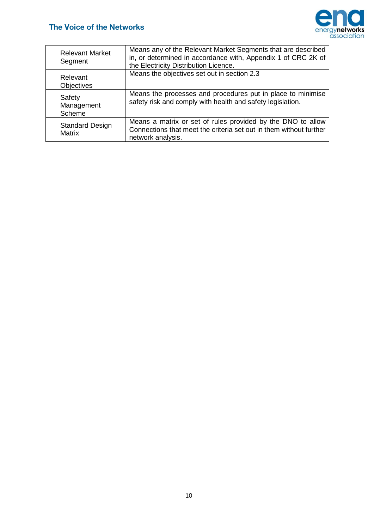

| <b>Relevant Market</b><br>Segment       | Means any of the Relevant Market Segments that are described<br>in, or determined in accordance with, Appendix 1 of CRC 2K of<br>the Electricity Distribution Licence. |
|-----------------------------------------|------------------------------------------------------------------------------------------------------------------------------------------------------------------------|
| Relevant<br><b>Objectives</b>           | Means the objectives set out in section 2.3                                                                                                                            |
| Safety<br>Management<br>Scheme          | Means the processes and procedures put in place to minimise<br>safety risk and comply with health and safety legislation.                                              |
| <b>Standard Design</b><br><b>Matrix</b> | Means a matrix or set of rules provided by the DNO to allow<br>Connections that meet the criteria set out in them without further<br>network analysis.                 |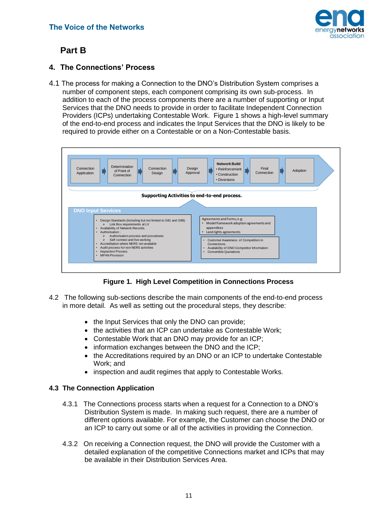

## <span id="page-12-0"></span>**Part B**

#### **4. The Connections' Process**

4.1 The process for making a Connection to the DNO's Distribution System comprises a number of component steps, each component comprising its own sub-process. In addition to each of the process components there are a number of supporting or Input Services that the DNO needs to provide in order to facilitate Independent Connection Providers (ICPs) undertaking Contestable Work. Figure 1 shows a high-level summary of the end-to-end process and indicates the Input Services that the DNO is likely to be required to provide either on a Contestable or on a Non-Contestable basis.



<span id="page-12-1"></span>**Figure 1. High Level Competition in Connections Process**

- 4.2 The following sub-sections describe the main components of the end-to-end process in more detail. As well as setting out the procedural steps, they describe:
	- the Input Services that only the DNO can provide;
	- the activities that an ICP can undertake as Contestable Work;
	- Contestable Work that an DNO may provide for an ICP;
	- information exchanges between the DNO and the ICP;
	- the Accreditations required by an DNO or an ICP to undertake Contestable Work; and
	- inspection and audit regimes that apply to Contestable Works.

#### **4.3 The Connection Application**

- 4.3.1 The Connections process starts when a request for a Connection to a DNO's Distribution System is made. In making such request, there are a number of different options available. For example, the Customer can choose the DNO or an ICP to carry out some or all of the activities in providing the Connection.
- 4.3.2On receiving a Connection request, the DNO will provide the Customer with a detailed explanation of the competitive Connections market and ICPs that may be available in their Distribution Services Area.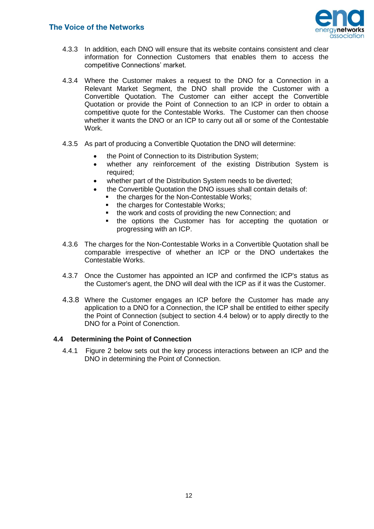

- 4.3.3 In addition, each DNO will ensure that its website contains consistent and clear information for Connection Customers that enables them to access the competitive Connections' market.
- 4.3.4 Where the Customer makes a request to the DNO for a Connection in a Relevant Market Segment, the DNO shall provide the Customer with a Convertible Quotation. The Customer can either accept the Convertible Quotation or provide the Point of Connection to an ICP in order to obtain a competitive quote for the Contestable Works. The Customer can then choose whether it wants the DNO or an ICP to carry out all or some of the Contestable Work.
- 4.3.5 As part of producing a Convertible Quotation the DNO will determine:
	- the Point of Connection to its Distribution System;
	- whether any reinforcement of the existing Distribution System is required;
	- whether part of the Distribution System needs to be diverted;
	- the Convertible Quotation the DNO issues shall contain details of:
		- the charges for the Non-Contestable Works;<br>• the charges for Contestable Works;
		- the charges for Contestable Works;
		- the work and costs of providing the new Connection; and
		- **the options the Customer has for accepting the quotation or** progressing with an ICP.
- 4.3.6The charges for the Non-Contestable Works in a Convertible Quotation shall be comparable irrespective of whether an ICP or the DNO undertakes the Contestable Works.
- 4.3.7 Once the Customer has appointed an ICP and confirmed the ICP's status as the Customer's agent, the DNO will deal with the ICP as if it was the Customer.
- 4.3.8 Where the Customer engages an ICP before the Customer has made any application to a DNO for a Connection, the ICP shall be entitled to either specify the Point of Connection (subject to section 4.4 below) or to apply directly to the DNO for a Point of Conenction.

#### <span id="page-13-0"></span>**4.4 Determining the Point of Connection**

4.4.1 Figure 2 below sets out the key process interactions between an ICP and the DNO in determining the Point of Connection.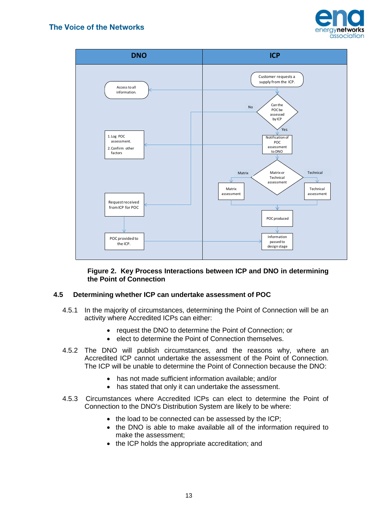



#### **Figure 2. Key Process Interactions between ICP and DNO in determining the Point of Connection**

#### **4.5 Determining whether ICP can undertake assessment of POC**

- 4.5.1 In the majority of circumstances, determining the Point of Connection will be an activity where Accredited ICPs can either:
	- request the DNO to determine the Point of Connection; or
	- elect to determine the Point of Connection themselves.
- 4.5.2 The DNO will publish circumstances, and the reasons why, where an Accredited ICP cannot undertake the assessment of the Point of Connection. The ICP will be unable to determine the Point of Connection because the DNO:
	- has not made sufficient information available; and/or
	- has stated that only it can undertake the assessment.
- 4.5.3 Circumstances where Accredited ICPs can elect to determine the Point of Connection to the DNO's Distribution System are likely to be where:
	- the load to be connected can be assessed by the ICP;
	- the DNO is able to make available all of the information required to make the assessment;
	- the ICP holds the appropriate accreditation; and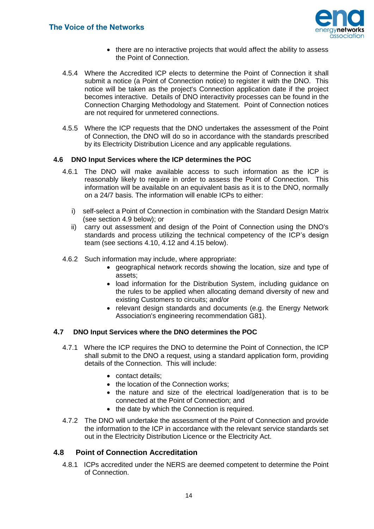

- there are no interactive projects that would affect the ability to assess the Point of Connection.
- 4.5.4 Where the Accredited ICP elects to determine the Point of Connection it shall submit a notice (a Point of Connection notice) to register it with the DNO. This notice will be taken as the project's Connection application date if the project becomes interactive. Details of DNO interactivity processes can be found in the Connection Charging Methodology and Statement. Point of Connection notices are not required for unmetered connections.
- 4.5.5 Where the ICP requests that the DNO undertakes the assessment of the Point of Connection, the DNO will do so in accordance with the standards prescribed by its Electricity Distribution Licence and any applicable regulations.

#### **4.6 DNO Input Services where the ICP determines the POC**

- 4.6.1 The DNO will make available access to such information as the ICP is reasonably likely to require in order to assess the Point of Connection. This information will be available on an equivalent basis as it is to the DNO, normally on a 24/7 basis. The information will enable ICPs to either:
	- i) self-select a Point of Connection in combination with the Standard Design Matrix (see section 4.9 below); or
	- ii) carry out assessment and design of the Point of Connection using the DNO's standards and process utilizing the technical competency of the ICP's design team (see sections 4.10, 4.12 and 4.15 below).
- 4.6.2 Such information may include, where appropriate:
	- geographical network records showing the location, size and type of assets;
	- load information for the Distribution System, including guidance on the rules to be applied when allocating demand diversity of new and existing Customers to circuits; and/or
	- relevant design standards and documents (e.g. the Energy Network Association's engineering recommendation G81).

#### **4.7 DNO Input Services where the DNO determines the POC**

- 4.7.1 Where the ICP requires the DNO to determine the Point of Connection, the ICP shall submit to the DNO a request, using a standard application form, providing details of the Connection. This will include:
	- contact details;
	- the location of the Connection works:
	- the nature and size of the electrical load/generation that is to be connected at the Point of Connection; and
	- the date by which the Connection is required.
- 4.7.2 The DNO will undertake the assessment of the Point of Connection and provide the information to the ICP in accordance with the relevant service standards set out in the Electricity Distribution Licence or the Electricity Act.

#### **4.8 Point of Connection Accreditation**

4.8.1 ICPs accredited under the NERS are deemed competent to determine the Point of Connection.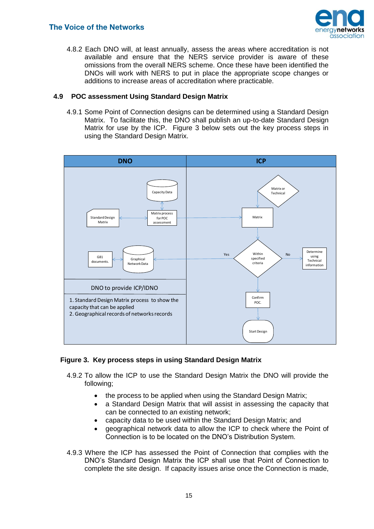

4.8.2 Each DNO will, at least annually, assess the areas where accreditation is not available and ensure that the NERS service provider is aware of these omissions from the overall NERS scheme. Once these have been identified the DNOs will work with NERS to put in place the appropriate scope changes or additions to increase areas of accreditation where practicable.

#### **4.9 POC assessment Using Standard Design Matrix**

4.9.1 Some Point of Connection designs can be determined using a Standard Design Matrix. To facilitate this, the DNO shall publish an up-to-date Standard Design Matrix for use by the ICP. Figure 3 below sets out the key process steps in using the Standard Design Matrix.



#### **Figure 3. Key process steps in using Standard Design Matrix**

- 4.9.2 To allow the ICP to use the Standard Design Matrix the DNO will provide the following;
	- the process to be applied when using the Standard Design Matrix;
	- a Standard Design Matrix that will assist in assessing the capacity that can be connected to an existing network;
	- capacity data to be used within the Standard Design Matrix; and
	- geographical network data to allow the ICP to check where the Point of Connection is to be located on the DNO's Distribution System.
- 4.9.3 Where the ICP has assessed the Point of Connection that complies with the DNO's Standard Design Matrix the ICP shall use that Point of Connection to complete the site design. If capacity issues arise once the Connection is made,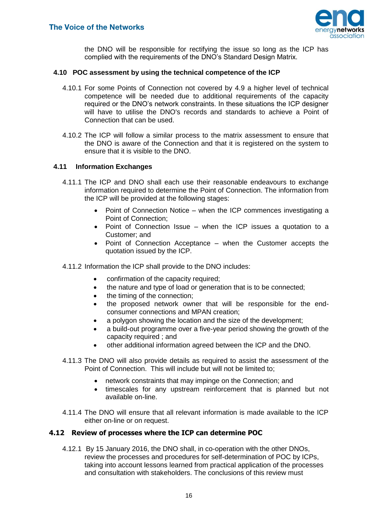

the DNO will be responsible for rectifying the issue so long as the ICP has complied with the requirements of the DNO's Standard Design Matrix.

#### **4.10 POC assessment by using the technical competence of the ICP**

- 4.10.1 For some Points of Connection not covered by 4.9 a higher level of technical competence will be needed due to additional requirements of the capacity required or the DNO's network constraints. In these situations the ICP designer will have to utilise the DNO's records and standards to achieve a Point of Connection that can be used.
- 4.10.2 The ICP will follow a similar process to the matrix assessment to ensure that the DNO is aware of the Connection and that it is registered on the system to ensure that it is visible to the DNO.

#### **4.11 Information Exchanges**

- 4.11.1 The ICP and DNO shall each use their reasonable endeavours to exchange information required to determine the Point of Connection. The information from the ICP will be provided at the following stages:
	- Point of Connection Notice when the ICP commences investigating a Point of Connection;
	- Point of Connection Issue when the ICP issues a quotation to a Customer; and
	- Point of Connection Acceptance when the Customer accepts the quotation issued by the ICP.

#### 4.11.2 Information the ICP shall provide to the DNO includes:

- confirmation of the capacity required;
- the nature and type of load or generation that is to be connected;
- the timing of the connection;
- the proposed network owner that will be responsible for the endconsumer connections and MPAN creation;
- a polygon showing the location and the size of the development;
- a build-out programme over a five-year period showing the growth of the capacity required ; and
- other additional information agreed between the ICP and the DNO.
- 4.11.3 The DNO will also provide details as required to assist the assessment of the Point of Connection. This will include but will not be limited to;
	- network constraints that may impinge on the Connection; and
	- timescales for any upstream reinforcement that is planned but not available on-line.
- 4.11.4 The DNO will ensure that all relevant information is made available to the ICP either on-line or on request.

#### **4.12 Review of processes where the ICP can determine POC**

4.12.1 By 15 January 2016, the DNO shall, in co-operation with the other DNOs, review the processes and procedures for self-determination of POC by ICPs, taking into account lessons learned from practical application of the processes and consultation with stakeholders. The conclusions of this review must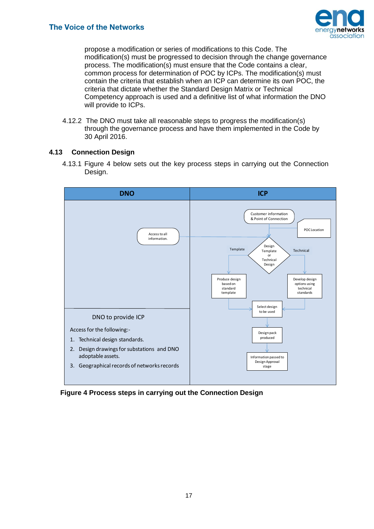

propose a modification or series of modifications to this Code. The modification(s) must be progressed to decision through the change governance process. The modification(s) must ensure that the Code contains a clear, common process for determination of POC by ICPs. The modification(s) must contain the criteria that establish when an ICP can determine its own POC, the criteria that dictate whether the Standard Design Matrix or Technical Competency approach is used and a definitive list of what information the DNO will provide to ICPs.

4.12.2 The DNO must take all reasonable steps to progress the modification(s) through the governance process and have them implemented in the Code by 30 April 2016.

#### <span id="page-18-0"></span>**4.13 Connection Design**

4.13.1 Figure 4 below sets out the key process steps in carrying out the Connection Design.



**Figure 4 Process steps in carrying out the Connection Design**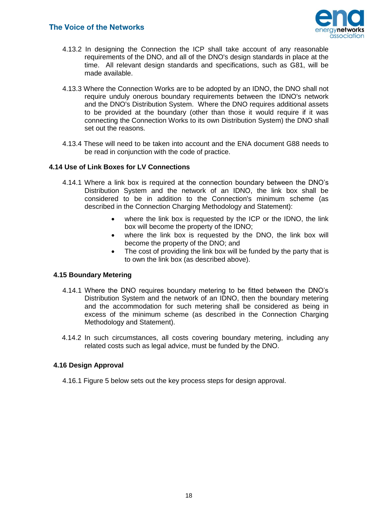

- 4.13.2 In designing the Connection the ICP shall take account of any reasonable requirements of the DNO, and all of the DNO's design standards in place at the time. All relevant design standards and specifications, such as G81, will be made available.
- 4.13.3 Where the Connection Works are to be adopted by an IDNO, the DNO shall not require unduly onerous boundary requirements between the IDNO's network and the DNO's Distribution System. Where the DNO requires additional assets to be provided at the boundary (other than those it would require if it was connecting the Connection Works to its own Distribution System) the DNO shall set out the reasons.
- 4.13.4 These will need to be taken into account and the ENA document G88 needs to be read in conjunction with the code of practice.

#### **4.14 Use of Link Boxes for LV Connections**

- 4.14.1 Where a link box is required at the connection boundary between the DNO's Distribution System and the network of an IDNO, the link box shall be considered to be in addition to the Connection's minimum scheme (as described in the Connection Charging Methodology and Statement):
	- where the link box is requested by the ICP or the IDNO, the link box will become the property of the IDNO;
	- where the link box is requested by the DNO, the link box will become the property of the DNO; and
	- The cost of providing the link box will be funded by the party that is to own the link box (as described above).

#### **4.15 Boundary Metering**

- 4.14.1 Where the DNO requires boundary metering to be fitted between the DNO's Distribution System and the network of an IDNO, then the boundary metering and the accommodation for such metering shall be considered as being in excess of the minimum scheme (as described in the Connection Charging Methodology and Statement).
- 4.14.2 In such circumstances, all costs covering boundary metering, including any related costs such as legal advice, must be funded by the DNO.

#### <span id="page-19-0"></span>**4.16 Design Approval**

4.16.1 Figure 5 below sets out the key process steps for design approval.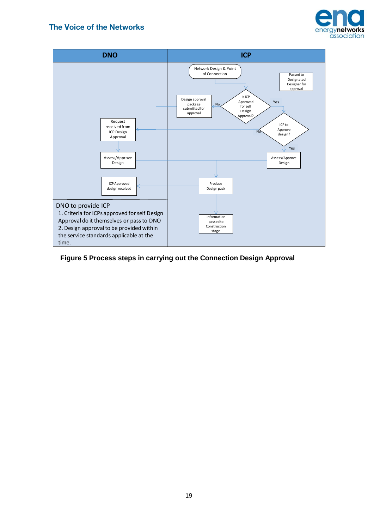



#### **Figure 5 Process steps in carrying out the Connection Design Approval**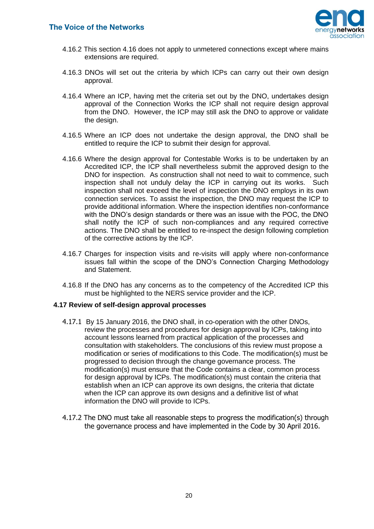

- 4.16.2 This section 4.16 does not apply to unmetered connections except where mains extensions are required.
- 4.16.3 DNOs will set out the criteria by which ICPs can carry out their own design approval.
- 4.16.4 Where an ICP, having met the criteria set out by the DNO, undertakes design approval of the Connection Works the ICP shall not require design approval from the DNO. However, the ICP may still ask the DNO to approve or validate the design.
- 4.16.5 Where an ICP does not undertake the design approval, the DNO shall be entitled to require the ICP to submit their design for approval.
- 4.16.6 Where the design approval for Contestable Works is to be undertaken by an Accredited ICP, the ICP shall nevertheless submit the approved design to the DNO for inspection. As construction shall not need to wait to commence, such inspection shall not unduly delay the ICP in carrying out its works. Such inspection shall not exceed the level of inspection the DNO employs in its own connection services. To assist the inspection, the DNO may request the ICP to provide additional information. Where the inspection identifies non-conformance with the DNO's design standards or there was an issue with the POC, the DNO shall notify the ICP of such non-compliances and any required corrective actions. The DNO shall be entitled to re-inspect the design following completion of the corrective actions by the ICP.
- 4.16.7 Charges for inspection visits and re-visits will apply where non-conformance issues fall within the scope of the DNO's Connection Charging Methodology and Statement.
- 4.16.8 If the DNO has any concerns as to the competency of the Accredited ICP this must be highlighted to the NERS service provider and the ICP.

#### **4.17 Review of self-design approval processes**

- 4.17.1 By 15 January 2016, the DNO shall, in co-operation with the other DNOs, review the processes and procedures for design approval by ICPs, taking into account lessons learned from practical application of the processes and consultation with stakeholders. The conclusions of this review must propose a modification or series of modifications to this Code. The modification(s) must be progressed to decision through the change governance process. The modification(s) must ensure that the Code contains a clear, common process for design approval by ICPs. The modification(s) must contain the criteria that establish when an ICP can approve its own designs, the criteria that dictate when the ICP can approve its own designs and a definitive list of what information the DNO will provide to ICPs.
- 4.17.2 The DNO must take all reasonable steps to progress the modification(s) through the governance process and have implemented in the Code by 30 April 2016.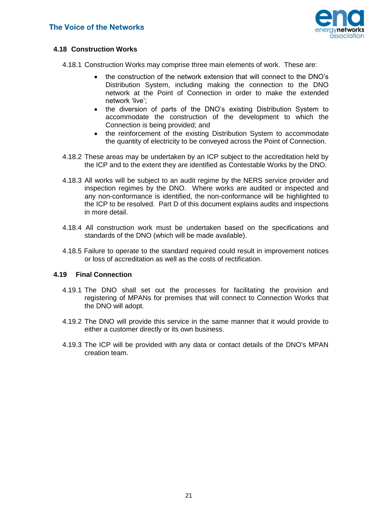

#### <span id="page-22-0"></span>**4.18 Construction Works**

- 4.18.1 Construction Works may comprise three main elements of work. These are:
	- the construction of the network extension that will connect to the DNO's Distribution System, including making the connection to the DNO network at the Point of Connection in order to make the extended network 'live';
	- the diversion of parts of the DNO's existing Distribution System to accommodate the construction of the development to which the Connection is being provided; and
	- the reinforcement of the existing Distribution System to accommodate the quantity of electricity to be conveyed across the Point of Connection.
- 4.18.2 These areas may be undertaken by an ICP subject to the accreditation held by the ICP and to the extent they are identified as Contestable Works by the DNO.
- 4.18.3 All works will be subject to an audit regime by the NERS service provider and inspection regimes by the DNO. Where works are audited or inspected and any non-conformance is identified, the non-conformance will be highlighted to the ICP to be resolved. Part D of this document explains audits and inspections in more detail.
- 4.18.4 All construction work must be undertaken based on the specifications and standards of the DNO (which will be made available).
- 4.18.5 Failure to operate to the standard required could result in improvement notices or loss of accreditation as well as the costs of rectification.

#### <span id="page-22-1"></span>**4.19 Final Connection**

- 4.19.1 The DNO shall set out the processes for facilitating the provision and registering of MPANs for premises that will connect to Connection Works that the DNO will adopt.
- 4.19.2 The DNO will provide this service in the same manner that it would provide to either a customer directly or its own business.
- <span id="page-22-2"></span>4.19.3 The ICP will be provided with any data or contact details of the DNO's MPAN creation team.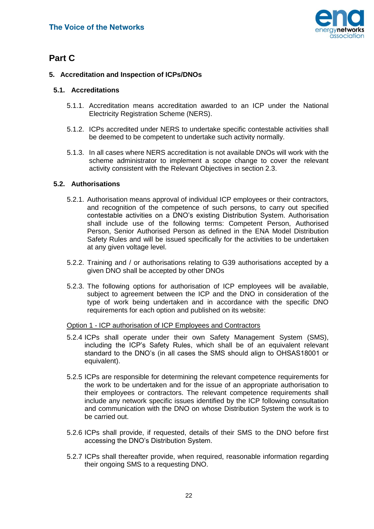<span id="page-23-0"></span>

## **Part C**

#### **5. Accreditation and Inspection of ICPs/DNOs**

#### **5.1. Accreditations**

- 5.1.1. Accreditation means accreditation awarded to an ICP under the National Electricity Registration Scheme (NERS).
- 5.1.2. ICPs accredited under NERS to undertake specific contestable activities shall be deemed to be competent to undertake such activity normally.
- 5.1.3. In all cases where NERS accreditation is not available DNOs will work with the scheme administrator to implement a scope change to cover the relevant activity consistent with the Relevant Objectives in section 2.3.

#### <span id="page-23-1"></span>**5.2. Authorisations**

- 5.2.1. Authorisation means approval of individual ICP employees or their contractors, and recognition of the competence of such persons, to carry out specified contestable activities on a DNO's existing Distribution System. Authorisation shall include use of the following terms: Competent Person, Authorised Person, Senior Authorised Person as defined in the ENA Model Distribution Safety Rules and will be issued specifically for the activities to be undertaken at any given voltage level.
- 5.2.2. Training and / or authorisations relating to G39 authorisations accepted by a given DNO shall be accepted by other DNOs
- 5.2.3. The following options for authorisation of ICP employees will be available, subject to agreement between the ICP and the DNO in consideration of the type of work being undertaken and in accordance with the specific DNO requirements for each option and published on its website:

#### Option 1 - ICP authorisation of ICP Employees and Contractors

- 5.2.4 ICPs shall operate under their own Safety Management System (SMS), including the ICP's Safety Rules, which shall be of an equivalent relevant standard to the DNO's (in all cases the SMS should align to OHSAS18001 or equivalent).
- 5.2.5 ICPs are responsible for determining the relevant competence requirements for the work to be undertaken and for the issue of an appropriate authorisation to their employees or contractors. The relevant competence requirements shall include any network specific issues identified by the ICP following consultation and communication with the DNO on whose Distribution System the work is to be carried out.
- 5.2.6 ICPs shall provide, if requested, details of their SMS to the DNO before first accessing the DNO's Distribution System.
- 5.2.7 ICPs shall thereafter provide, when required, reasonable information regarding their ongoing SMS to a requesting DNO.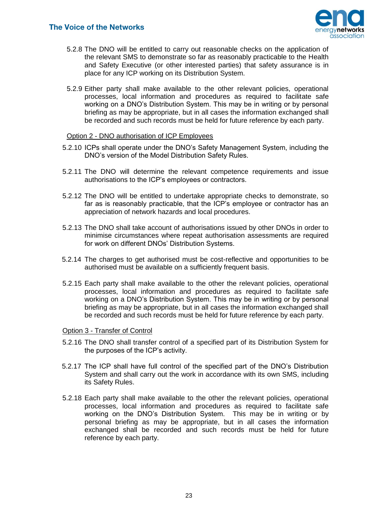

- 5.2.8 The DNO will be entitled to carry out reasonable checks on the application of the relevant SMS to demonstrate so far as reasonably practicable to the Health and Safety Executive (or other interested parties) that safety assurance is in place for any ICP working on its Distribution System.
- 5.2.9 Either party shall make available to the other relevant policies, operational processes, local information and procedures as required to facilitate safe working on a DNO's Distribution System. This may be in writing or by personal briefing as may be appropriate, but in all cases the information exchanged shall be recorded and such records must be held for future reference by each party.

#### Option 2 - DNO authorisation of ICP Employees

- 5.2.10 ICPs shall operate under the DNO's Safety Management System, including the DNO's version of the Model Distribution Safety Rules.
- 5.2.11 The DNO will determine the relevant competence requirements and issue authorisations to the ICP's employees or contractors.
- 5.2.12 The DNO will be entitled to undertake appropriate checks to demonstrate, so far as is reasonably practicable, that the ICP's employee or contractor has an appreciation of network hazards and local procedures.
- 5.2.13 The DNO shall take account of authorisations issued by other DNOs in order to minimise circumstances where repeat authorisation assessments are required for work on different DNOs' Distribution Systems.
- 5.2.14 The charges to get authorised must be cost-reflective and opportunities to be authorised must be available on a sufficiently frequent basis.
- 5.2.15 Each party shall make available to the other the relevant policies, operational processes, local information and procedures as required to facilitate safe working on a DNO's Distribution System. This may be in writing or by personal briefing as may be appropriate, but in all cases the information exchanged shall be recorded and such records must be held for future reference by each party.

#### Option 3 - Transfer of Control

- 5.2.16 The DNO shall transfer control of a specified part of its Distribution System for the purposes of the ICP's activity.
- 5.2.17 The ICP shall have full control of the specified part of the DNO's Distribution System and shall carry out the work in accordance with its own SMS, including its Safety Rules.
- 5.2.18 Each party shall make available to the other the relevant policies, operational processes, local information and procedures as required to facilitate safe working on the DNO's Distribution System. This may be in writing or by personal briefing as may be appropriate, but in all cases the information exchanged shall be recorded and such records must be held for future reference by each party.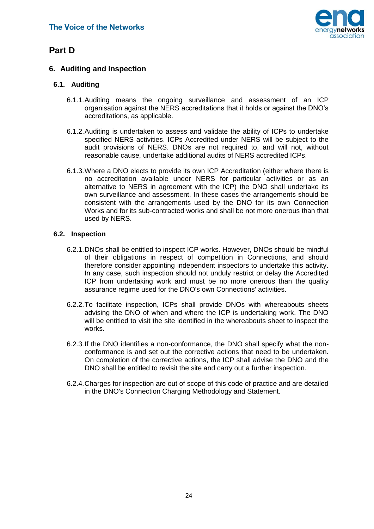

## <span id="page-25-0"></span>**Part D**

#### **6. Auditing and Inspection**

#### <span id="page-25-1"></span>**6.1. Auditing**

- 6.1.1.Auditing means the ongoing surveillance and assessment of an ICP organisation against the NERS accreditations that it holds or against the DNO's accreditations, as applicable.
- 6.1.2.Auditing is undertaken to assess and validate the ability of ICPs to undertake specified NERS activities. ICPs Accredited under NERS will be subject to the audit provisions of NERS. DNOs are not required to, and will not, without reasonable cause, undertake additional audits of NERS accredited ICPs.
- 6.1.3.Where a DNO elects to provide its own ICP Accreditation (either where there is no accreditation available under NERS for particular activities or as an alternative to NERS in agreement with the ICP) the DNO shall undertake its own surveillance and assessment. In these cases the arrangements should be consistent with the arrangements used by the DNO for its own Connection Works and for its sub-contracted works and shall be not more onerous than that used by NERS.

#### <span id="page-25-2"></span>**6.2. Inspection**

- 6.2.1.DNOs shall be entitled to inspect ICP works. However, DNOs should be mindful of their obligations in respect of competition in Connections, and should therefore consider appointing independent inspectors to undertake this activity. In any case, such inspection should not unduly restrict or delay the Accredited ICP from undertaking work and must be no more onerous than the quality assurance regime used for the DNO's own Connections' activities.
- 6.2.2.To facilitate inspection, ICPs shall provide DNOs with whereabouts sheets advising the DNO of when and where the ICP is undertaking work. The DNO will be entitled to visit the site identified in the whereabouts sheet to inspect the works.
- 6.2.3.If the DNO identifies a non-conformance, the DNO shall specify what the nonconformance is and set out the corrective actions that need to be undertaken. On completion of the corrective actions, the ICP shall advise the DNO and the DNO shall be entitled to revisit the site and carry out a further inspection.
- 6.2.4.Charges for inspection are out of scope of this code of practice and are detailed in the DNO's Connection Charging Methodology and Statement.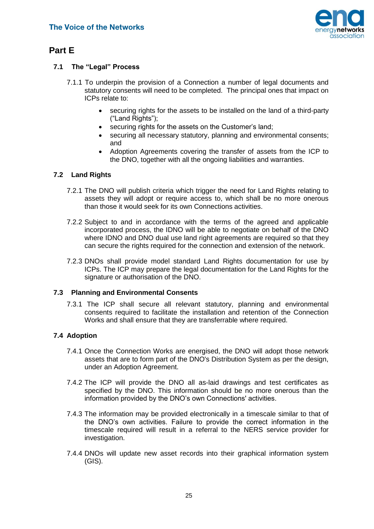

## <span id="page-26-0"></span>**Part E**

#### **7.1 The "Legal" Process**

- 7.1.1 To underpin the provision of a Connection a number of legal documents and statutory consents will need to be completed. The principal ones that impact on ICPs relate to:
	- securing rights for the assets to be installed on the land of a third-party ("Land Rights");
	- securing rights for the assets on the Customer's land:
	- securing all necessary statutory, planning and environmental consents; and
	- Adoption Agreements covering the transfer of assets from the ICP to the DNO, together with all the ongoing liabilities and warranties.

#### <span id="page-26-1"></span>**7.2 Land Rights**

- 7.2.1 The DNO will publish criteria which trigger the need for Land Rights relating to assets they will adopt or require access to, which shall be no more onerous than those it would seek for its own Connections activities.
- 7.2.2 Subject to and in accordance with the terms of the agreed and applicable incorporated process, the IDNO will be able to negotiate on behalf of the DNO where IDNO and DNO dual use land right agreements are required so that they can secure the rights required for the connection and extension of the network.
- 7.2.3 DNOs shall provide model standard Land Rights documentation for use by ICPs. The ICP may prepare the legal documentation for the Land Rights for the signature or authorisation of the DNO.

#### <span id="page-26-2"></span>**7.3 Planning and Environmental Consents**

7.3.1 The ICP shall secure all relevant statutory, planning and environmental consents required to facilitate the installation and retention of the Connection Works and shall ensure that they are transferrable where required.

#### <span id="page-26-3"></span>**7.4 Adoption**

- 7.4.1 Once the Connection Works are energised, the DNO will adopt those network assets that are to form part of the DNO's Distribution System as per the design, under an Adoption Agreement.
- 7.4.2 The ICP will provide the DNO all as-laid drawings and test certificates as specified by the DNO. This information should be no more onerous than the information provided by the DNO's own Connections' activities.
- 7.4.3 The information may be provided electronically in a timescale similar to that of the DNO's own activities. Failure to provide the correct information in the timescale required will result in a referral to the NERS service provider for investigation.
- 7.4.4 DNOs will update new asset records into their graphical information system (GIS).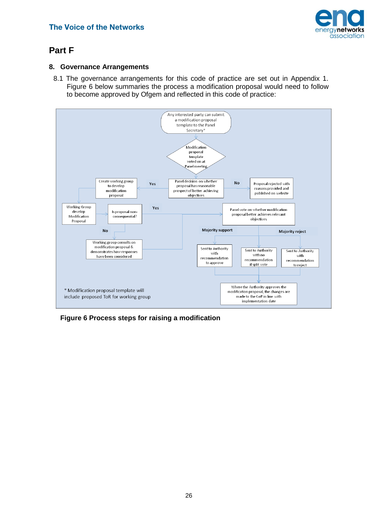

## <span id="page-27-0"></span>**Part F**

#### <span id="page-27-1"></span>**8. Governance Arrangements**

8.1 The governance arrangements for this code of practice are set out in Appendix 1. Figure 6 below summaries the process a modification proposal would need to follow to become approved by Ofgem and reflected in this code of practice:



<span id="page-27-2"></span>**Figure 6 Process steps for raising a modification**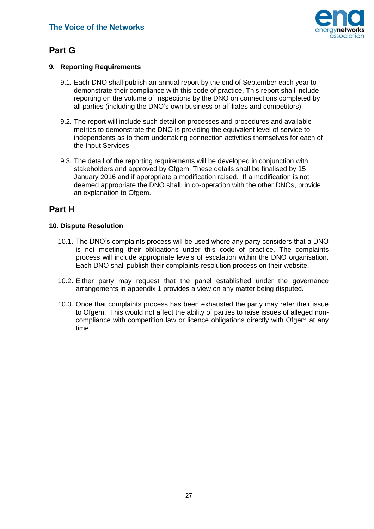

## **Part G**

#### <span id="page-28-0"></span>**9. Reporting Requirements**

- 9.1. Each DNO shall publish an annual report by the end of September each year to demonstrate their compliance with this code of practice. This report shall include reporting on the volume of inspections by the DNO on connections completed by all parties (including the DNO's own business or affiliates and competitors).
- 9.2. The report will include such detail on processes and procedures and available metrics to demonstrate the DNO is providing the equivalent level of service to independents as to them undertaking connection activities themselves for each of the Input Services.
- 9.3. The detail of the reporting requirements will be developed in conjunction with stakeholders and approved by Ofgem. These details shall be finalised by 15 January 2016 and if appropriate a modification raised. If a modification is not deemed appropriate the DNO shall, in co-operation with the other DNOs, provide an explanation to Ofgem.

## <span id="page-28-1"></span>**Part H**

#### <span id="page-28-2"></span>**10. Dispute Resolution**

- 10.1. The DNO's complaints process will be used where any party considers that a DNO is not meeting their obligations under this code of practice. The complaints process will include appropriate levels of escalation within the DNO organisation. Each DNO shall publish their complaints resolution process on their website.
- 10.2. Either party may request that the panel established under the governance arrangements in appendix 1 provides a view on any matter being disputed.
- 10.3. Once that complaints process has been exhausted the party may refer their issue to Ofgem. This would not affect the ability of parties to raise issues of alleged noncompliance with competition law or licence obligations directly with Ofgem at any time.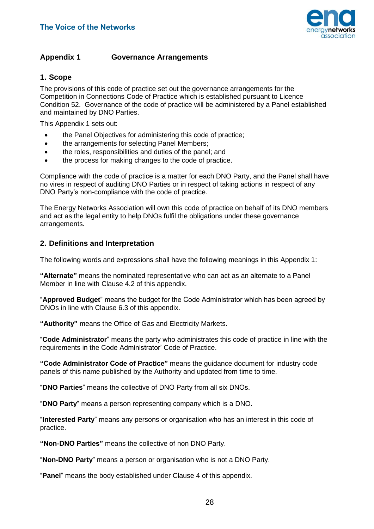

#### <span id="page-29-0"></span>**Appendix 1 Governance Arrangements**

#### **1. Scope**

The provisions of this code of practice set out the governance arrangements for the Competition in Connections Code of Practice which is established pursuant to Licence Condition 52. Governance of the code of practice will be administered by a Panel established and maintained by DNO Parties.

This Appendix 1 sets out:

- the Panel Objectives for administering this code of practice;
- the arrangements for selecting Panel Members;
- the roles, responsibilities and duties of the panel; and
- the process for making changes to the code of practice.

Compliance with the code of practice is a matter for each DNO Party, and the Panel shall have no vires in respect of auditing DNO Parties or in respect of taking actions in respect of any DNO Party's non-compliance with the code of practice.

The Energy Networks Association will own this code of practice on behalf of its DNO members and act as the legal entity to help DNOs fulfil the obligations under these governance arrangements.

#### **2. Definitions and Interpretation**

The following words and expressions shall have the following meanings in this Appendix 1:

**"Alternate"** means the nominated representative who can act as an alternate to a Panel Member in line with Clause 4.2 of this appendix.

"**Approved Budget**" means the budget for the Code Administrator which has been agreed by DNOs in line with Clause 6.3 of this appendix.

**"Authority"** means the Office of Gas and Electricity Markets.

"**Code Administrator**" means the party who administrates this code of practice in line with the requirements in the Code Administrator' Code of Practice.

**"Code Administrator Code of Practice"** means the guidance document for industry code panels of this name published by the Authority and updated from time to time.

"**DNO Parties**" means the collective of DNO Party from all six DNOs.

"**DNO Party**" means a person representing company which is a DNO.

"**Interested Party**" means any persons or organisation who has an interest in this code of practice.

**"Non-DNO Parties"** means the collective of non DNO Party.

"**Non-DNO Party**" means a person or organisation who is not a DNO Party.

"**Panel**" means the body established under Clause 4 of this appendix.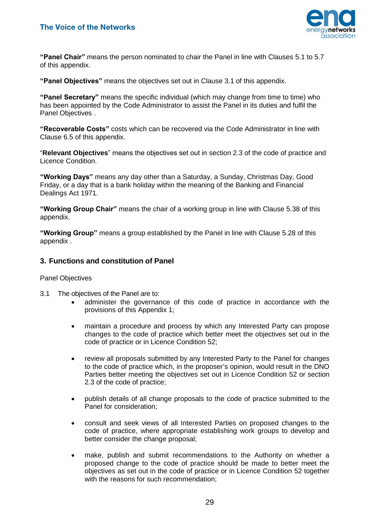

**"Panel Chair"** means the person nominated to chair the Panel in line with Clauses 5.1 to 5.7 of this appendix.

**"Panel Objectives"** means the objectives set out in Clause 3.1 of this appendix.

**"Panel Secretary"** means the specific individual (which may change from time to time) who has been appointed by the Code Administrator to assist the Panel in its duties and fulfil the Panel Objectives .

**"Recoverable Costs"** costs which can be recovered via the Code Administrator in line with Clause 6.5 of this appendix.

"**Relevant Objectives**" means the objectives set out in section 2.3 of the code of practice and Licence Condition.

**"Working Days"** means any day other than a Saturday, a Sunday, Christmas Day, Good Friday, or a day that is a bank holiday within the meaning of the Banking and Financial Dealings Act 1971.

**"Working Group Chair"** means the chair of a working group in line with Clause 5.38 of this appendix.

**"Working Group"** means a group established by the Panel in line with Clause 5.28 of this appendix .

#### **3. Functions and constitution of Panel**

#### Panel Objectives

- 3.1 The objectives of the Panel are to:
	- administer the governance of this code of practice in accordance with the provisions of this Appendix 1;
	- maintain a procedure and process by which any Interested Party can propose changes to the code of practice which better meet the objectives set out in the code of practice or in Licence Condition 52;
	- review all proposals submitted by any Interested Party to the Panel for changes to the code of practice which, in the proposer's opinion, would result in the DNO Parties better meeting the objectives set out in Licence Condition 52 or section 2.3 of the code of practice;
	- publish details of all change proposals to the code of practice submitted to the Panel for consideration;
	- consult and seek views of all Interested Parties on proposed changes to the code of practice, where appropriate establishing work groups to develop and better consider the change proposal;
	- make, publish and submit recommendations to the Authority on whether a proposed change to the code of practice should be made to better meet the objectives as set out in the code of practice or in Licence Condition 52 together with the reasons for such recommendation: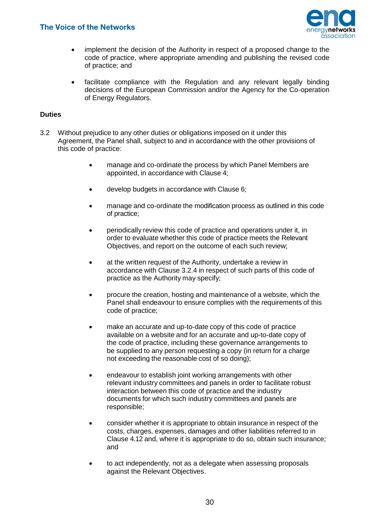

- implement the decision of the Authority in respect of a proposed change to the code of practice, where appropriate amending and publishing the revised code of practice; and
- facilitate compliance with the Regulation and any relevant legally binding decisions of the European Commission and/or the Agency for the Co-operation of Energy Regulators.

#### **Duties**

- 3.2 Without prejudice to any other duties or obligations imposed on it under this Agreement, the Panel shall, subject to and in accordance with the other provisions of this code of practice:
	- manage and co-ordinate the process by which Panel Members are appointed, in accordance with Clause 4;
	- develop budgets in accordance with Clause 6;
	- manage and co-ordinate the modification process as outlined in this code of practice;
	- periodically review this code of practice and operations under it, in order to evaluate whether this code of practice meets the Relevant Objectives, and report on the outcome of each such review;
	- at the written request of the Authority, undertake a review in accordance with Clause 3.2.4 in respect of such parts of this code of practice as the Authority may specify;
	- procure the creation, hosting and maintenance of a website, which the Panel shall endeavour to ensure complies with the requirements of this code of practice;
	- make an accurate and up-to-date copy of this code of practice available on a website and for an accurate and up-to-date copy of the code of practice, including these governance arrangements to be supplied to any person requesting a copy (in return for a charge not exceeding the reasonable cost of so doing);
	- endeavour to establish joint working arrangements with other relevant industry committees and panels in order to facilitate robust interaction between this code of practice and the industry documents for which such industry committees and panels are responsible;
	- consider whether it is appropriate to obtain insurance in respect of the costs, charges, expenses, damages and other liabilities referred to in Clause 4.12 and, where it is appropriate to do so, obtain such insurance; and
	- to act independently, not as a delegate when assessing proposals against the Relevant Objectives.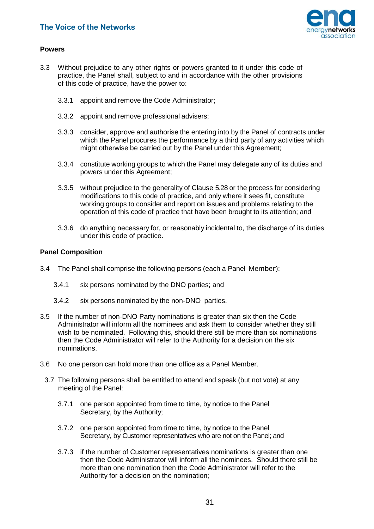

#### **Powers**

- 3.3 Without prejudice to any other rights or powers granted to it under this code of practice, the Panel shall, subject to and in accordance with the other provisions of this code of practice, have the power to:
	- 3.3.1 appoint and remove the Code Administrator;
	- 3.3.2 appoint and remove professional advisers;
	- 3.3.3 consider, approve and authorise the entering into by the Panel of contracts under which the Panel procures the performance by a third party of any activities which might otherwise be carried out by the Panel under this Agreement;
	- 3.3.4 constitute working groups to which the Panel may delegate any of its duties and powers under this Agreement;
	- 3.3.5 without prejudice to the generality of Clause 5.28 or the process for considering modifications to this code of practice, and only where it sees fit, constitute working groups to consider and report on issues and problems relating to the operation of this code of practice that have been brought to its attention; and
	- 3.3.6 do anything necessary for, or reasonably incidental to, the discharge of its duties under this code of practice.

#### **Panel Composition**

- 3.4 The Panel shall comprise the following persons (each a Panel Member):
	- 3.4.1 six persons nominated by the DNO parties; and
	- 3.4.2 six persons nominated by the non-DNO parties.
- 3.5 If the number of non-DNO Party nominations is greater than six then the Code Administrator will inform all the nominees and ask them to consider whether they still wish to be nominated. Following this, should there still be more than six nominations then the Code Administrator will refer to the Authority for a decision on the six nominations.
- 3.6 No one person can hold more than one office as a Panel Member.
- 3.7 The following persons shall be entitled to attend and speak (but not vote) at any meeting of the Panel:
	- 3.7.1 one person appointed from time to time, by notice to the Panel Secretary, by the Authority;
	- 3.7.2 one person appointed from time to time, by notice to the Panel Secretary, by Customer representatives who are not on the Panel; and
	- 3.7.3 if the number of Customer representatives nominations is greater than one then the Code Administrator will inform all the nominees. Should there still be more than one nomination then the Code Administrator will refer to the Authority for a decision on the nomination;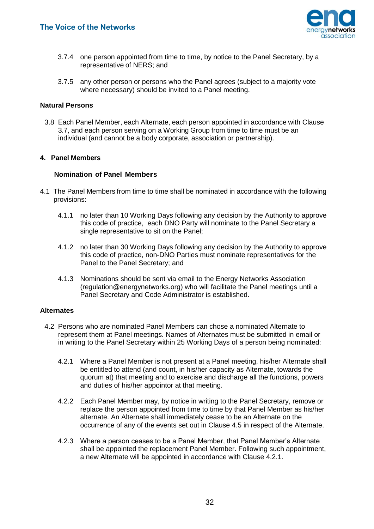

- 3.7.4 one person appointed from time to time, by notice to the Panel Secretary, by a representative of NERS; and
- 3.7.5 any other person or persons who the Panel agrees (subject to a majority vote where necessary) should be invited to a Panel meeting.

#### **Natural Persons**

3.8 Each Panel Member, each Alternate, each person appointed in accordance with Clause 3.7, and each person serving on a Working Group from time to time must be an individual (and cannot be a body corporate, association or partnership).

#### **4. Panel Members**

#### **Nomination of Panel Members**

- 4.1 The Panel Members from time to time shall be nominated in accordance with the following provisions:
	- 4.1.1 no later than 10 Working Days following any decision by the Authority to approve this code of practice, each DNO Party will nominate to the Panel Secretary a single representative to sit on the Panel;
	- 4.1.2 no later than 30 Working Days following any decision by the Authority to approve this code of practice, non-DNO Parties must nominate representatives for the Panel to the Panel Secretary; and
	- 4.1.3 Nominations should be sent via email to the Energy Networks Association [\(regulation@energynetworks.org\)](mailto:regulation@energynetworks.org) who will facilitate the Panel meetings until a Panel Secretary and Code Administrator is established.

#### **Alternates**

- 4.2 Persons who are nominated Panel Members can chose a nominated Alternate to represent them at Panel meetings. Names of Alternates must be submitted in email or in writing to the Panel Secretary within 25 Working Days of a person being nominated:
	- 4.2.1 Where a Panel Member is not present at a Panel meeting, his/her Alternate shall be entitled to attend (and count, in his/her capacity as Alternate, towards the quorum at) that meeting and to exercise and discharge all the functions, powers and duties of his/her appointor at that meeting.
	- 4.2.2 Each Panel Member may, by notice in writing to the Panel Secretary, remove or replace the person appointed from time to time by that Panel Member as his/her alternate. An Alternate shall immediately cease to be an Alternate on the occurrence of any of the events set out in Clause 4.5 in respect of the Alternate.
	- 4.2.3 Where a person ceases to be a Panel Member, that Panel Member's Alternate shall be appointed the replacement Panel Member. Following such appointment, a new Alternate will be appointed in accordance with Clause 4.2.1.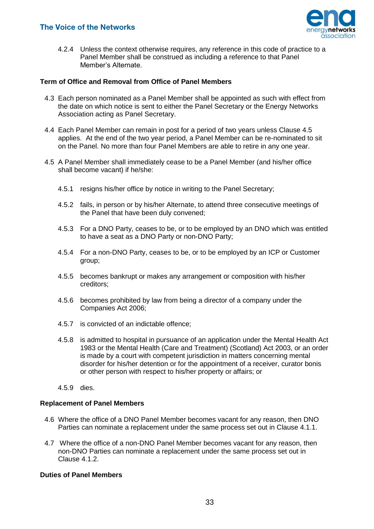

4.2.4 Unless the context otherwise requires, any reference in this code of practice to a Panel Member shall be construed as including a reference to that Panel Member's Alternate.

#### **Term of Office and Removal from Office of Panel Members**

- 4.3 Each person nominated as a Panel Member shall be appointed as such with effect from the date on which notice is sent to either the Panel Secretary or the Energy Networks Association acting as Panel Secretary.
- 4.4 Each Panel Member can remain in post for a period of two years unless Clause 4.5 applies. At the end of the two year period, a Panel Member can be re-nominated to sit on the Panel. No more than four Panel Members are able to retire in any one year.
- 4.5 A Panel Member shall immediately cease to be a Panel Member (and his/her office shall become vacant) if he/she:
	- 4.5.1 resigns his/her office by notice in writing to the Panel Secretary;
	- 4.5.2 fails, in person or by his/her Alternate, to attend three consecutive meetings of the Panel that have been duly convened;
	- 4.5.3 For a DNO Party, ceases to be, or to be employed by an DNO which was entitled to have a seat as a DNO Party or non-DNO Party;
	- 4.5.4 For a non-DNO Party, ceases to be, or to be employed by an ICP or Customer group;
	- 4.5.5 becomes bankrupt or makes any arrangement or composition with his/her creditors;
	- 4.5.6 becomes prohibited by law from being a director of a company under the Companies Act 2006;
	- 4.5.7 is convicted of an indictable offence;
	- 4.5.8 is admitted to hospital in pursuance of an application under the Mental Health Act 1983 or the Mental Health (Care and Treatment) (Scotland) Act 2003, or an order is made by a court with competent jurisdiction in matters concerning mental disorder for his/her detention or for the appointment of a receiver, curator bonis or other person with respect to his/her property or affairs; or
	- 4.5.9 dies.

#### **Replacement of Panel Members**

- 4.6 Where the office of a DNO Panel Member becomes vacant for any reason, then DNO Parties can nominate a replacement under the same process set out in Clause 4.1.1.
- 4.7 Where the office of a non-DNO Panel Member becomes vacant for any reason, then non-DNO Parties can nominate a replacement under the same process set out in Clause 4.1.2.

#### **Duties of Panel Members**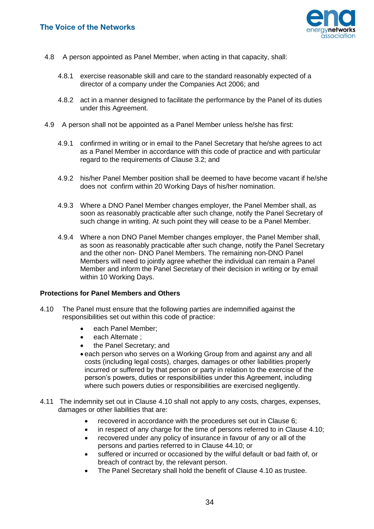

- 4.8 A person appointed as Panel Member, when acting in that capacity, shall:
	- 4.8.1 exercise reasonable skill and care to the standard reasonably expected of a director of a company under the Companies Act 2006; and
	- 4.8.2 act in a manner designed to facilitate the performance by the Panel of its duties under this Agreement.
- 4.9 A person shall not be appointed as a Panel Member unless he/she has first:
	- 4.9.1 confirmed in writing or in email to the Panel Secretary that he/she agrees to act as a Panel Member in accordance with this code of practice and with particular regard to the requirements of Clause 3.2; and
	- 4.9.2 his/her Panel Member position shall be deemed to have become vacant if he/she does not confirm within 20 Working Days of his/her nomination.
	- 4.9.3 Where a DNO Panel Member changes employer, the Panel Member shall, as soon as reasonably practicable after such change, notify the Panel Secretary of such change in writing. At such point they will cease to be a Panel Member.
	- 4.9.4 Where a non DNO Panel Member changes employer, the Panel Member shall, as soon as reasonably practicable after such change, notify the Panel Secretary and the other non- DNO Panel Members. The remaining non-DNO Panel Members will need to jointly agree whether the individual can remain a Panel Member and inform the Panel Secretary of their decision in writing or by email within 10 Working Days.

#### **Protections for Panel Members and Others**

- 4.10 The Panel must ensure that the following parties are indemnified against the responsibilities set out within this code of practice:
	- each Panel Member:
	- each Alternate;
	- the Panel Secretary; and
	- each person who serves on a Working Group from and against any and all costs (including legal costs), charges, damages or other liabilities properly incurred or suffered by that person or party in relation to the exercise of the person's powers, duties or responsibilities under this Agreement, including where such powers duties or responsibilities are exercised negligently.
- 4.11 The indemnity set out in Clause 4.10 shall not apply to any costs, charges, expenses, damages or other liabilities that are:
	- recovered in accordance with the procedures set out in Clause 6;
	- in respect of any charge for the time of persons referred to in Clause 4.10;
	- recovered under any policy of insurance in favour of any or all of the persons and parties referred to in Clause 44.10; or
	- suffered or incurred or occasioned by the wilful default or bad faith of, or breach of contract by, the relevant person.
	- The Panel Secretary shall hold the benefit of Clause 4.10 as trustee.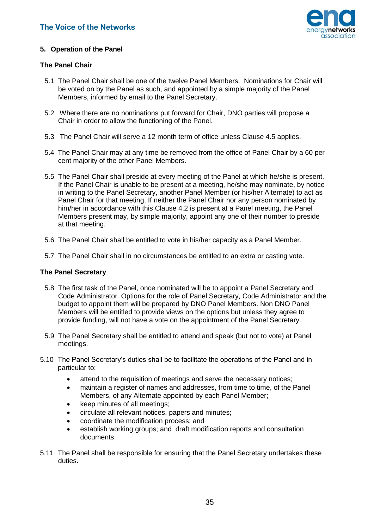

#### **5. Operation of the Panel**

#### **The Panel Chair**

- 5.1 The Panel Chair shall be one of the twelve Panel Members. Nominations for Chair will be voted on by the Panel as such, and appointed by a simple majority of the Panel Members, informed by email to the Panel Secretary.
- 5.2 Where there are no nominations put forward for Chair, DNO parties will propose a Chair in order to allow the functioning of the Panel.
- 5.3 The Panel Chair will serve a 12 month term of office unless Clause 4.5 applies.
- 5.4 The Panel Chair may at any time be removed from the office of Panel Chair by a 60 per cent majority of the other Panel Members.
- 5.5 The Panel Chair shall preside at every meeting of the Panel at which he/she is present. If the Panel Chair is unable to be present at a meeting, he/she may nominate, by notice in writing to the Panel Secretary, another Panel Member (or his/her Alternate) to act as Panel Chair for that meeting. If neither the Panel Chair nor any person nominated by him/her in accordance with this Clause 4.2 is present at a Panel meeting, the Panel Members present may, by simple majority, appoint any one of their number to preside at that meeting.
- 5.6 The Panel Chair shall be entitled to vote in his/her capacity as a Panel Member.
- 5.7 The Panel Chair shall in no circumstances be entitled to an extra or casting vote.

#### **The Panel Secretary**

- 5.8 The first task of the Panel, once nominated will be to appoint a Panel Secretary and Code Administrator. Options for the role of Panel Secretary, Code Administrator and the budget to appoint them will be prepared by DNO Panel Members. Non DNO Panel Members will be entitled to provide views on the options but unless they agree to provide funding, will not have a vote on the appointment of the Panel Secretary.
- 5.9 The Panel Secretary shall be entitled to attend and speak (but not to vote) at Panel meetings.
- 5.10 The Panel Secretary's duties shall be to facilitate the operations of the Panel and in particular to:
	- attend to the requisition of meetings and serve the necessary notices;
	- maintain a register of names and addresses, from time to time, of the Panel Members, of any Alternate appointed by each Panel Member;
	- keep minutes of all meetings:
	- circulate all relevant notices, papers and minutes;
	- coordinate the modification process; and
	- establish working groups; and draft modification reports and consultation documents.
- 5.11 The Panel shall be responsible for ensuring that the Panel Secretary undertakes these duties.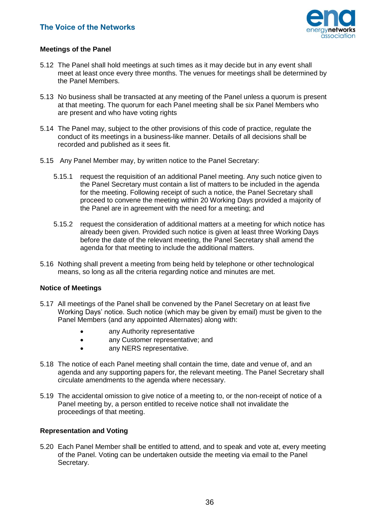

#### **Meetings of the Panel**

- 5.12 The Panel shall hold meetings at such times as it may decide but in any event shall meet at least once every three months. The venues for meetings shall be determined by the Panel Members.
- 5.13 No business shall be transacted at any meeting of the Panel unless a quorum is present at that meeting. The quorum for each Panel meeting shall be six Panel Members who are present and who have voting rights
- 5.14 The Panel may, subject to the other provisions of this code of practice, regulate the conduct of its meetings in a business-like manner. Details of all decisions shall be recorded and published as it sees fit.
- 5.15 Any Panel Member may, by written notice to the Panel Secretary:
	- 5.15.1 request the requisition of an additional Panel meeting. Any such notice given to the Panel Secretary must contain a list of matters to be included in the agenda for the meeting. Following receipt of such a notice, the Panel Secretary shall proceed to convene the meeting within 20 Working Days provided a majority of the Panel are in agreement with the need for a meeting; and
	- 5.15.2 request the consideration of additional matters at a meeting for which notice has already been given. Provided such notice is given at least three Working Days before the date of the relevant meeting, the Panel Secretary shall amend the agenda for that meeting to include the additional matters.
- 5.16 Nothing shall prevent a meeting from being held by telephone or other technological means, so long as all the criteria regarding notice and minutes are met.

#### **Notice of Meetings**

- 5.17 All meetings of the Panel shall be convened by the Panel Secretary on at least five Working Days' notice. Such notice (which may be given by email) must be given to the Panel Members (and any appointed Alternates) along with:
	- any Authority representative
	- any Customer representative; and
	- any NERS representative.
- 5.18 The notice of each Panel meeting shall contain the time, date and venue of, and an agenda and any supporting papers for, the relevant meeting. The Panel Secretary shall circulate amendments to the agenda where necessary.
- 5.19 The accidental omission to give notice of a meeting to, or the non-receipt of notice of a Panel meeting by, a person entitled to receive notice shall not invalidate the proceedings of that meeting.

#### **Representation and Voting**

5.20 Each Panel Member shall be entitled to attend, and to speak and vote at, every meeting of the Panel. Voting can be undertaken outside the meeting via email to the Panel Secretary.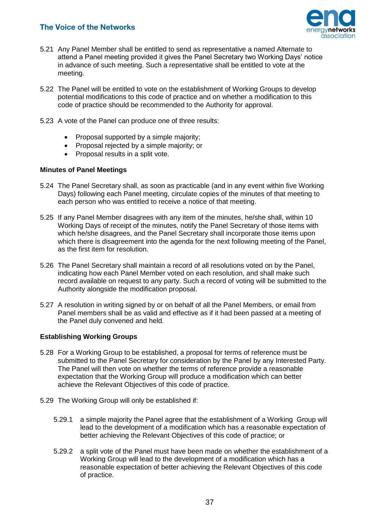

- 5.21 Any Panel Member shall be entitled to send as representative a named Alternate to attend a Panel meeting provided it gives the Panel Secretary two Working Days' notice in advance of such meeting. Such a representative shall be entitled to vote at the meeting.
- 5.22 The Panel will be entitled to vote on the establishment of Working Groups to develop potential modifications to this code of practice and on whether a modification to this code of practice should be recommended to the Authority for approval.
- 5.23 A vote of the Panel can produce one of three results:
	- Proposal supported by a simple majority;
	- Proposal rejected by a simple majority; or
	- Proposal results in a split vote.

#### **Minutes of Panel Meetings**

- 5.24 The Panel Secretary shall, as soon as practicable (and in any event within five Working Days) following each Panel meeting, circulate copies of the minutes of that meeting to each person who was entitled to receive a notice of that meeting.
- 5.25 If any Panel Member disagrees with any item of the minutes, he/she shall, within 10 Working Days of receipt of the minutes, notify the Panel Secretary of those items with which he/she disagrees, and the Panel Secretary shall incorporate those items upon which there is disagreement into the agenda for the next following meeting of the Panel, as the first item for resolution.
- 5.26 The Panel Secretary shall maintain a record of all resolutions voted on by the Panel, indicating how each Panel Member voted on each resolution, and shall make such record available on request to any party. Such a record of voting will be submitted to the Authority alongside the modification proposal.
- 5.27 A resolution in writing signed by or on behalf of all the Panel Members, or email from Panel members shall be as valid and effective as if it had been passed at a meeting of the Panel duly convened and held.

#### **Establishing Working Groups**

- 5.28 For a Working Group to be established, a proposal for terms of reference must be submitted to the Panel Secretary for consideration by the Panel by any Interested Party. The Panel will then vote on whether the terms of reference provide a reasonable expectation that the Working Group will produce a modification which can better achieve the Relevant Objectives of this code of practice.
- 5.29 The Working Group will only be established if:
	- 5.29.1 a simple majority the Panel agree that the establishment of a Working Group will lead to the development of a modification which has a reasonable expectation of better achieving the Relevant Objectives of this code of practice; or
	- 5.29.2 a split vote of the Panel must have been made on whether the establishment of a Working Group will lead to the development of a modification which has a reasonable expectation of better achieving the Relevant Objectives of this code of practice.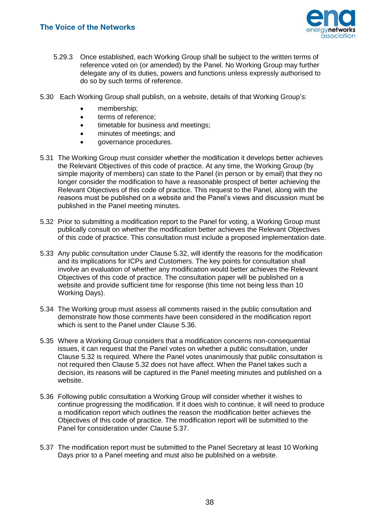

- 5.29.3 Once established, each Working Group shall be subject to the written terms of reference voted on (or amended) by the Panel. No Working Group may further delegate any of its duties, powers and functions unless expressly authorised to do so by such terms of reference.
- 5.30 Each Working Group shall publish, on a website, details of that Working Group's:
	- membership;
	- **•** terms of reference:
	- timetable for business and meetings;
	- minutes of meetings; and
	- governance procedures.
- 5.31 The Working Group must consider whether the modification it develops better achieves the Relevant Objectives of this code of practice. At any time, the Working Group (by simple majority of members) can state to the Panel (in person or by email) that they no longer consider the modification to have a reasonable prospect of better achieving the Relevant Objectives of this code of practice. This request to the Panel, along with the reasons must be published on a website and the Panel's views and discussion must be published in the Panel meeting minutes.
- 5.32 Prior to submitting a modification report to the Panel for voting, a Working Group must publically consult on whether the modification better achieves the Relevant Objectives of this code of practice. This consultation must include a proposed implementation date.
- 5.33 Any public consultation under Clause 5.32, will identify the reasons for the modification and its implications for ICPs and Customers. The key points for consultation shall involve an evaluation of whether any modification would better achieves the Relevant Objectives of this code of practice. The consultation paper will be published on a website and provide sufficient time for response (this time not being less than 10 Working Days).
- 5.34 The Working group must assess all comments raised in the public consultation and demonstrate how those comments have been considered in the modification report which is sent to the Panel under Clause 5.36.
- 5.35 Where a Working Group considers that a modification concerns non-consequential issues, it can request that the Panel votes on whether a public consultation, under Clause 5.32 is required. Where the Panel votes unanimously that public consultation is not required then Clause 5.32 does not have affect. When the Panel takes such a decision, its reasons will be captured in the Panel meeting minutes and published on a website.
- 5.36 Following public consultation a Working Group will consider whether it wishes to continue progressing the modification. If it does wish to continue, it will need to produce a modification report which outlines the reason the modification better achieves the Objectives of this code of practice. The modification report will be submitted to the Panel for consideration under Clause 5.37.
- 5.37 The modification report must be submitted to the Panel Secretary at least 10 Working Days prior to a Panel meeting and must also be published on a website.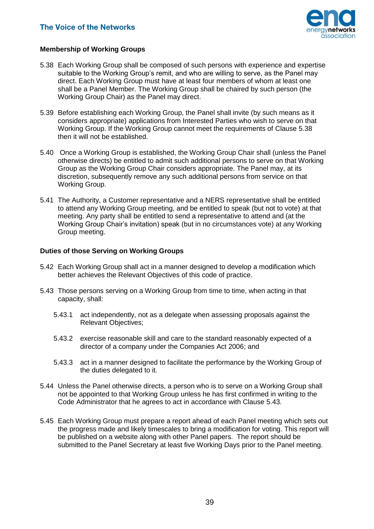

#### **Membership of Working Groups**

- 5.38 Each Working Group shall be composed of such persons with experience and expertise suitable to the Working Group's remit, and who are willing to serve, as the Panel may direct. Each Working Group must have at least four members of whom at least one shall be a Panel Member. The Working Group shall be chaired by such person (the Working Group Chair) as the Panel may direct.
- 5.39 Before establishing each Working Group, the Panel shall invite (by such means as it considers appropriate) applications from Interested Parties who wish to serve on that Working Group. If the Working Group cannot meet the requirements of Clause 5.38 then it will not be established.
- 5.40 Once a Working Group is established, the Working Group Chair shall (unless the Panel otherwise directs) be entitled to admit such additional persons to serve on that Working Group as the Working Group Chair considers appropriate. The Panel may, at its discretion, subsequently remove any such additional persons from service on that Working Group.
- 5.41 The Authority, a Customer representative and a NERS representative shall be entitled to attend any Working Group meeting, and be entitled to speak (but not to vote) at that meeting. Any party shall be entitled to send a representative to attend and (at the Working Group Chair's invitation) speak (but in no circumstances vote) at any Working Group meeting.

#### **Duties of those Serving on Working Groups**

- 5.42 Each Working Group shall act in a manner designed to develop a modification which better achieves the Relevant Objectives of this code of practice.
- 5.43 Those persons serving on a Working Group from time to time, when acting in that capacity, shall:
	- 5.43.1 act independently, not as a delegate when assessing proposals against the Relevant Objectives;
	- 5.43.2 exercise reasonable skill and care to the standard reasonably expected of a director of a company under the Companies Act 2006; and
	- 5.43.3 act in a manner designed to facilitate the performance by the Working Group of the duties delegated to it.
- 5.44 Unless the Panel otherwise directs, a person who is to serve on a Working Group shall not be appointed to that Working Group unless he has first confirmed in writing to the Code Administrator that he agrees to act in accordance with Clause 5.43.
- 5.45 Each Working Group must prepare a report ahead of each Panel meeting which sets out the progress made and likely timescales to bring a modification for voting. This report will be published on a website along with other Panel papers. The report should be submitted to the Panel Secretary at least five Working Days prior to the Panel meeting.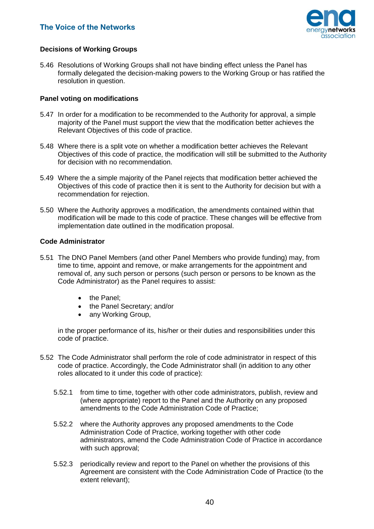

#### **Decisions of Working Groups**

5.46 Resolutions of Working Groups shall not have binding effect unless the Panel has formally delegated the decision-making powers to the Working Group or has ratified the resolution in question.

#### **Panel voting on modifications**

- 5.47 In order for a modification to be recommended to the Authority for approval, a simple majority of the Panel must support the view that the modification better achieves the Relevant Objectives of this code of practice.
- 5.48 Where there is a split vote on whether a modification better achieves the Relevant Objectives of this code of practice, the modification will still be submitted to the Authority for decision with no recommendation.
- 5.49 Where the a simple majority of the Panel rejects that modification better achieved the Objectives of this code of practice then it is sent to the Authority for decision but with a recommendation for rejection.
- 5.50 Where the Authority approves a modification, the amendments contained within that modification will be made to this code of practice. These changes will be effective from implementation date outlined in the modification proposal.

#### **Code Administrator**

- 5.51 The DNO Panel Members (and other Panel Members who provide funding) may, from time to time, appoint and remove, or make arrangements for the appointment and removal of, any such person or persons (such person or persons to be known as the Code Administrator) as the Panel requires to assist:
	- the Panel:
	- the Panel Secretary; and/or
	- any Working Group,

in the proper performance of its, his/her or their duties and responsibilities under this code of practice.

- 5.52 The Code Administrator shall perform the role of code administrator in respect of this code of practice. Accordingly, the Code Administrator shall (in addition to any other roles allocated to it under this code of practice):
	- 5.52.1 from time to time, together with other code administrators, publish, review and (where appropriate) report to the Panel and the Authority on any proposed amendments to the Code Administration Code of Practice;
	- 5.52.2 where the Authority approves any proposed amendments to the Code Administration Code of Practice, working together with other code administrators, amend the Code Administration Code of Practice in accordance with such approval;
	- 5.52.3 periodically review and report to the Panel on whether the provisions of this Agreement are consistent with the Code Administration Code of Practice (to the extent relevant);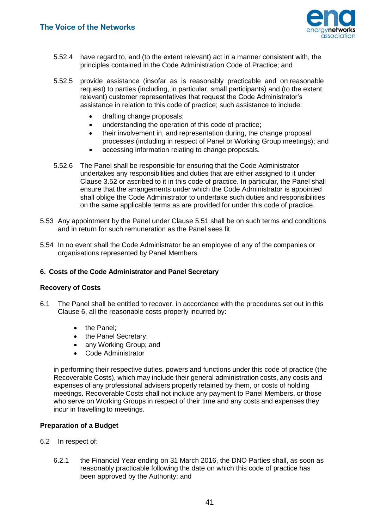

- 5.52.4 have regard to, and (to the extent relevant) act in a manner consistent with, the principles contained in the Code Administration Code of Practice; and
- 5.52.5 provide assistance (insofar as is reasonably practicable and on reasonable request) to parties (including, in particular, small participants) and (to the extent relevant) customer representatives that request the Code Administrator's assistance in relation to this code of practice; such assistance to include:
	- drafting change proposals;
	- understanding the operation of this code of practice;
	- their involvement in, and representation during, the change proposal processes (including in respect of Panel or Working Group meetings); and
	- accessing information relating to change proposals.
- 5.52.6 The Panel shall be responsible for ensuring that the Code Administrator undertakes any responsibilities and duties that are either assigned to it under Clause 3.52 or ascribed to it in this code of practice. In particular, the Panel shall ensure that the arrangements under which the Code Administrator is appointed shall oblige the Code Administrator to undertake such duties and responsibilities on the same applicable terms as are provided for under this code of practice.
- 5.53 Any appointment by the Panel under Clause 5.51 shall be on such terms and conditions and in return for such remuneration as the Panel sees fit.
- 5.54 In no event shall the Code Administrator be an employee of any of the companies or organisations represented by Panel Members.

#### **6. Costs of the Code Administrator and Panel Secretary**

#### **Recovery of Costs**

- 6.1 The Panel shall be entitled to recover, in accordance with the procedures set out in this Clause 6, all the reasonable costs properly incurred by:
	- the Panel;
	- the Panel Secretary:
	- any Working Group; and
	- Code Administrator

in performing their respective duties, powers and functions under this code of practice (the Recoverable Costs), which may include their general administration costs, any costs and expenses of any professional advisers properly retained by them, or costs of holding meetings. Recoverable Costs shall not include any payment to Panel Members, or those who serve on Working Groups in respect of their time and any costs and expenses they incur in travelling to meetings.

#### **Preparation of a Budget**

- 6.2 In respect of:
	- 6.2.1 the Financial Year ending on 31 March 2016, the DNO Parties shall, as soon as reasonably practicable following the date on which this code of practice has been approved by the Authority; and